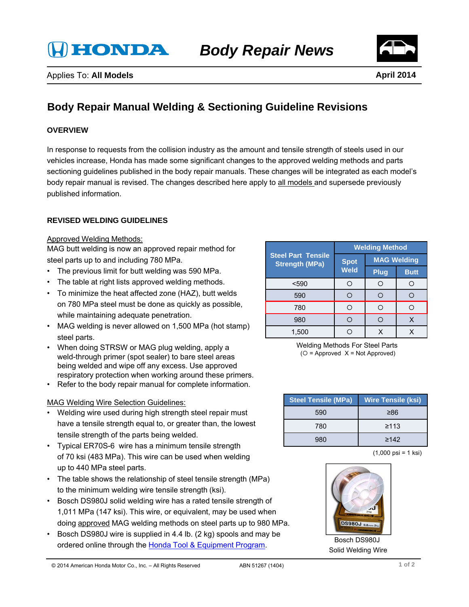**HONDA** 



# **Body Repair Manual Welding & Sectioning Guideline Revisions**

## **OVERVIEW**

In response to requests from the collision industry as the amount and tensile strength of steels used in our vehicles increase, Honda has made some significant changes to the approved welding methods and parts sectioning guidelines published in the body repair manuals. These changes will be integrated as each model's body repair manual is revised. The changes described here apply to all models and supersede previously published information.

## **REVISED WELDING GUIDELINES**

#### Approved Welding Methods:

MAG butt welding is now an approved repair method for steel parts up to and including 780 MPa.

- The previous limit for butt welding was 590 MPa.
- The table at right lists approved welding methods.
- To minimize the heat affected zone (HAZ), butt welds on 780 MPa steel must be done as quickly as possible, while maintaining adequate penetration.
- MAG welding is never allowed on 1,500 MPa (hot stamp) steel parts.
- When doing STRSW or MAG plug welding, apply a weld-through primer (spot sealer) to bare steel areas being welded and wipe off any excess. Use approved respiratory protection when working around these primers.
- Refer to the body repair manual for complete information.

#### MAG Welding Wire Selection Guidelines:

- Welding wire used during high strength steel repair must have a tensile strength equal to, or greater than, the lowest tensile strength of the parts being welded.
- Typical ER70S-6 wire has a minimum tensile strength of 70 ksi (483 MPa). This wire can be used when welding up to 440 MPa steel parts.
- The table shows the relationship of steel tensile strength (MPa) to the minimum welding wire tensile strength (ksi).
- Bosch DS980J solid welding wire has a rated tensile strength of 1,011 MPa (147 ksi). This wire, or equivalent, may be used when doing approved MAG welding methods on steel parts up to 980 MPa.
- Bosch DS980J wire is supplied in 4.4 lb. (2 kg) spools and may be ordered online through the Honda Tool & Equipment Program.

| <b>Steel Part Tensile</b><br><b>Strength (MPa)</b> | <b>Welding Method</b> |                    |             |
|----------------------------------------------------|-----------------------|--------------------|-------------|
|                                                    | <b>Spot</b><br>Weld   | <b>MAG Welding</b> |             |
|                                                    |                       | <b>Plug</b>        | <b>Butt</b> |
| $590$                                              |                       |                    |             |
| 590                                                |                       |                    |             |
| 780                                                | ∩                     |                    |             |
| 980                                                |                       |                    |             |
| 1.500                                              |                       |                    |             |

Welding Methods For Steel Parts  $(O = Approved X = Not Approved)$ 

| <b>Steel Tensile (MPa)</b> | <b>Wire Tensile (ksi)</b> |
|----------------------------|---------------------------|
| 590                        | ≥86                       |
| 780                        | $\geq 113$                |
| 980                        | $\geq 142$                |

(1,000 psi = 1 ksi)



Bosch DS980J Solid Welding Wire